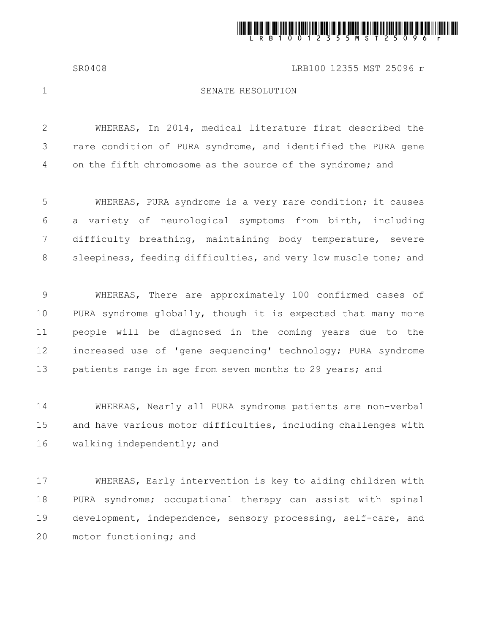

SR0408 LRB100 12355 MST 25096 r

1

## SENATE RESOLUTION

WHEREAS, In 2014, medical literature first described the rare condition of PURA syndrome, and identified the PURA gene on the fifth chromosome as the source of the syndrome; and 2 3 4

WHEREAS, PURA syndrome is a very rare condition; it causes a variety of neurological symptoms from birth, including difficulty breathing, maintaining body temperature, severe sleepiness, feeding difficulties, and very low muscle tone; and 5 6 7 8

WHEREAS, There are approximately 100 confirmed cases of PURA syndrome globally, though it is expected that many more people will be diagnosed in the coming years due to the increased use of 'gene sequencing' technology; PURA syndrome patients range in age from seven months to 29 years; and 9 10 11 12 13

WHEREAS, Nearly all PURA syndrome patients are non-verbal and have various motor difficulties, including challenges with walking independently; and 14 15 16

WHEREAS, Early intervention is key to aiding children with PURA syndrome; occupational therapy can assist with spinal development, independence, sensory processing, self-care, and motor functioning; and 17 18 19 20